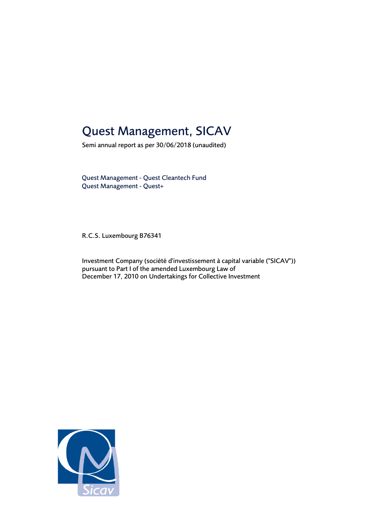# Quest Management, SICAV

Semi annual report as per 30/06/2018 (unaudited)

Quest Management - Quest Cleantech Fund Quest Management - Quest+

R.C.S. Luxembourg B76341

Investment Company (société d'investissement à capital variable ("SICAV")) pursuant to Part I of the amended Luxembourg Law of December 17, 2010 on Undertakings for Collective Investment

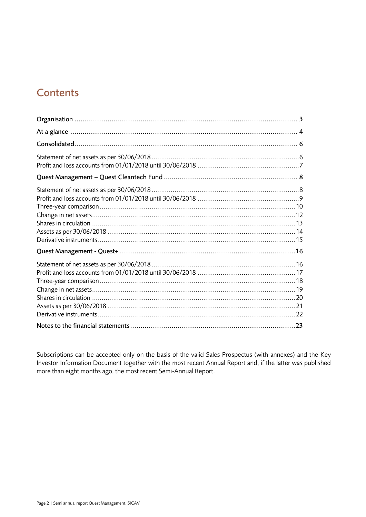# **Contents**

Subscriptions can be accepted only on the basis of the valid Sales Prospectus (with annexes) and the Key Investor Information Document together with the most recent Annual Report and, if the latter was published more than eight months ago, the most recent Semi-Annual Report.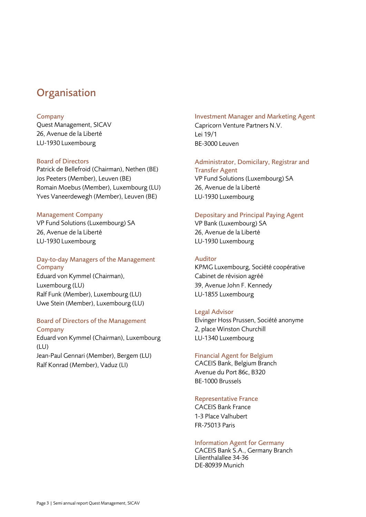# <span id="page-2-0"></span>**Organisation**

### Company

Quest Management, SICAV 26, Avenue de la Liberté LU-1930 Luxembourg

### Board of Directors

Patrick de Bellefroid (Chairman), Nethen (BE) Jos Peeters (Member), Leuven (BE) Romain Moebus (Member), Luxembourg (LU) Yves Vaneerdewegh (Member), Leuven (BE)

### Management Company

VP Fund Solutions (Luxembourg) SA 26, Avenue de la Liberté LU-1930 Luxembourg

### Day-to-day Managers of the Management Company

Eduard von Kymmel (Chairman), Luxembourg (LU) Ralf Funk (Member), Luxembourg (LU) Uwe Stein (Member), Luxembourg (LU)

### Board of Directors of the Management **Company**

Eduard von Kymmel (Chairman), Luxembourg (LU) Jean-Paul Gennari (Member), Bergem (LU) Ralf Konrad (Member), Vaduz (LI)

# Investment Manager and Marketing Agent Capricorn Venture Partners N.V.

Lei 19/1 BE-3000 Leuven

# Administrator, Domicilary, Registrar and Transfer Agent VP Fund Solutions (Luxembourg) SA

26, Avenue de la Liberté LU-1930 Luxembourg

# Depositary and Principal Paying Agent

VP Bank (Luxembourg) SA 26, Avenue de la Liberté LU-1930 Luxembourg

# Auditor

KPMG Luxembourg, Société coopérative Cabinet de révision agréé 39, Avenue John F. Kennedy LU-1855 Luxembourg

# Legal Advisor

Elvinger Hoss Prussen, Société anonyme 2, place Winston Churchill LU-1340 Luxembourg

# Financial Agent for Belgium

CACEIS Bank, Belgium Branch Avenue du Port 86c, B320 BE-1000 Brussels

# Representative France

CACEIS Bank France 1-3 Place Valhubert FR-75013 Paris

# Information Agent for Germany

CACEIS Bank S.A., Germany Branch Lilienthalallee 34-36 DE-80939 Munich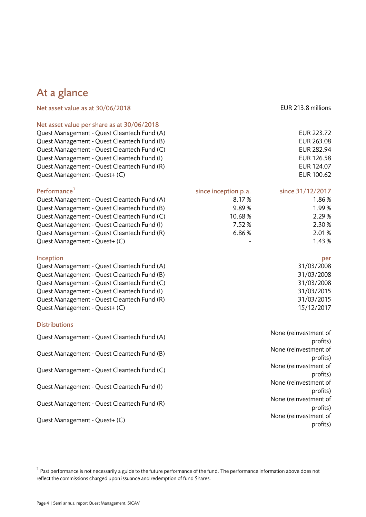# <span id="page-3-0"></span>At a glance

| Net asset value per share as at 30/06/2018  |                      |                   |
|---------------------------------------------|----------------------|-------------------|
| Quest Management - Quest Cleantech Fund (A) |                      | <b>EUR 223.72</b> |
| Quest Management - Quest Cleantech Fund (B) |                      | EUR 263.08        |
| Quest Management - Quest Cleantech Fund (C) |                      | <b>EUR 282.94</b> |
| Quest Management - Quest Cleantech Fund (I) |                      | <b>EUR 126.58</b> |
| Quest Management - Quest Cleantech Fund (R) |                      | EUR 124.07        |
| Quest Management - Quest+ (C)               |                      | EUR 100.62        |
| Performance <sup>1</sup>                    | since inception p.a. | since 31/12/2017  |
| Quest Management - Quest Cleantech Fund (A) | 8.17 %               | 1.86%             |
| Quest Management - Quest Cleantech Fund (B) | 9.89%                | 1.99%             |
| Quest Management - Quest Cleantech Fund (C) | 10.68%               | 2.29%             |
| Quest Management - Quest Cleantech Fund (I) | 7.52%                | 2.30%             |
| Quest Management - Quest Cleantech Fund (R) | 6.86%                | 2.01%             |
| Quest Management - Quest+ (C)               |                      | 1.43%             |

### Inception per the control of the control of the control of the control of the control of the control of the control of the control of the control of the control of the control of the control of the control of the control o

| Quest Management - Quest Cleantech Fund (A) | 31/03/2008 |
|---------------------------------------------|------------|
| Quest Management - Quest Cleantech Fund (B) | 31/03/2008 |
| Quest Management - Quest Cleantech Fund (C) | 31/03/2008 |
| Quest Management - Quest Cleantech Fund (I) | 31/03/2015 |
| Quest Management - Quest Cleantech Fund (R) | 31/03/2015 |
| Quest Management - Quest+ (C)               | 15/12/2017 |

### **Distributions**

 $\overline{a}$ 

| Quest Management - Quest Cleantech Fund (A) | None (reinvestment of<br>profits)                                   |
|---------------------------------------------|---------------------------------------------------------------------|
| Quest Management - Quest Cleantech Fund (B) | None (reinvestment of<br>profits)                                   |
| Quest Management - Quest Cleantech Fund (C) | None (reinvestment of<br>profits)                                   |
| Quest Management - Quest Cleantech Fund (I) | None (reinvestment of<br>profits)                                   |
| Quest Management - Quest Cleantech Fund (R) | None (reinvestment of<br>profits)                                   |
| Quest Management - Quest+ (C)               | None (reinvestment of<br>$\mathbf{u} = \mathbf{u} \cdot \mathbf{v}$ |

| 8.17%  | 1.86%  |
|--------|--------|
| 9.89%  | 1.99%  |
| 10.68% | 2.29%  |
| 7.52 % | 2.30 % |
| 6.86%  | 2.01 % |
|        | 1.43 % |

Net asset value as at 30/06/2018 EUR 213.8 millions

 $^{\rm 1}$  Past performance is not necessarily a guide to the future performance of the fund. The performance information above does not reflect the commissions charged upon issuance and redemption of fund Shares.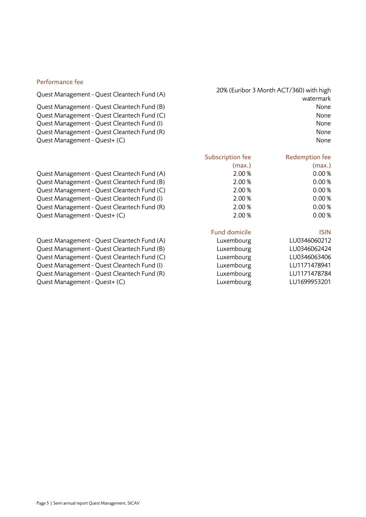### Performance fee

Quest Management - Quest Cleantech Fund (B) None Quest Management - Quest Cleantech Fund (C) None Quest Management - Quest Cleantech Fund (I) None Quest Management - Quest Cleantech Fund (R) None Quest Management - Quest+ (C) None

Quest Management - Quest Cleantech Fund (A) 20% (Euribor 3 Month ACT/360) with high watermark

| Quest Management - Quest Cleantech Fund (A) | 2.00 % | 0.00% |
|---------------------------------------------|--------|-------|
| Quest Management - Quest Cleantech Fund (B) | 2.00 % | 0.00% |
| Quest Management - Quest Cleantech Fund (C) | 2.00 % | 0.00% |
| Quest Management - Quest Cleantech Fund (I) | 2.00 % | 0.00% |
| Quest Management - Quest Cleantech Fund (R) | 2.00 % | 0.00% |
| Quest Management - Quest+ (C)               | 2.00 % | 0.00% |

| Quest Management - Quest Cleantech Fund (A) | Luxembourg | LU0346060212 |
|---------------------------------------------|------------|--------------|
| Quest Management - Quest Cleantech Fund (B) | Luxembourg | LU0346062424 |
| Quest Management - Quest Cleantech Fund (C) | Luxembourg | LU0346063406 |
| Quest Management - Quest Cleantech Fund (I) | Luxembourg | LU1171478941 |
| Quest Management - Quest Cleantech Fund (R) | Luxembourg | LU1171478784 |
| Quest Management - Quest+ (C)               | Luxembourg | LU1699953201 |

# (max.)

Subscription fee

| (max.) |
|--------|
| 0.00%  |
| 0.00%  |
| 0.00%  |
| 0.00%  |
| 0.00%  |
| 0.00%  |
|        |

Redemption fee

### Fund domicile **ISIN**

| uxembourg. | LU0346060212 |
|------------|--------------|
| .uxembourg | LU0346062424 |
| uxembourg. | LU0346063406 |
| uxembourg. | LU1171478941 |
| uxembourg. | LU1171478784 |
| .uxembourg | LU1699953201 |
|            |              |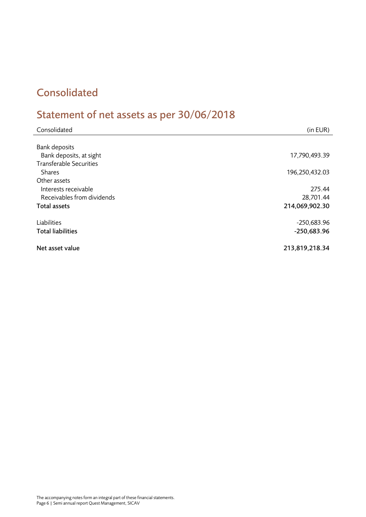# <span id="page-5-0"></span>Consolidated

# <span id="page-5-1"></span>Statement of net assets as per 30/06/2018

| Consolidated                   | (in EUR)       |
|--------------------------------|----------------|
|                                |                |
| <b>Bank deposits</b>           |                |
| Bank deposits, at sight        | 17,790,493.39  |
| <b>Transferable Securities</b> |                |
| <b>Shares</b>                  | 196,250,432.03 |
| Other assets                   |                |
| Interests receivable           | 275.44         |
| Receivables from dividends     | 28,701.44      |
| Total assets                   | 214,069,902.30 |
|                                |                |
| Liabilities                    | $-250,683.96$  |
| <b>Total liabilities</b>       | $-250,683.96$  |
| Net asset value                | 213,819,218.34 |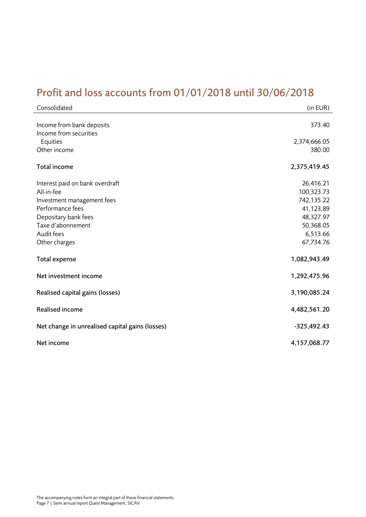# <span id="page-6-0"></span>Profit and loss accounts from 01/01/2018 until 30/06/2018

| Consolidated                                    | (in EUR)                |
|-------------------------------------------------|-------------------------|
| Income from bank deposits                       | 373.40                  |
| Income from securities<br>Equities              | 2,374,666.05            |
| Other income                                    | 380.00                  |
| Total income                                    | 2,375,419.45            |
| Interest paid on bank overdraft                 | 26,416.21               |
| All-in-fee                                      | 100,323.73              |
| Investment management fees<br>Performance fees  | 742,135.22<br>41,123.89 |
| Depositary bank fees                            | 48,327.97               |
| Taxe d'abonnement                               | 50,368.05               |
| Audit fees                                      | 6,513.66                |
| Other charges                                   | 67,734.76               |
| Total expense                                   | 1,082,943.49            |
| Net investment income                           | 1,292,475.96            |
| Realised capital gains (losses)                 | 3,190,085.24            |
| <b>Realised income</b>                          | 4,482,561.20            |
| Net change in unrealised capital gains (losses) | $-325,492.43$           |
| Net income                                      | 4,157,068.77            |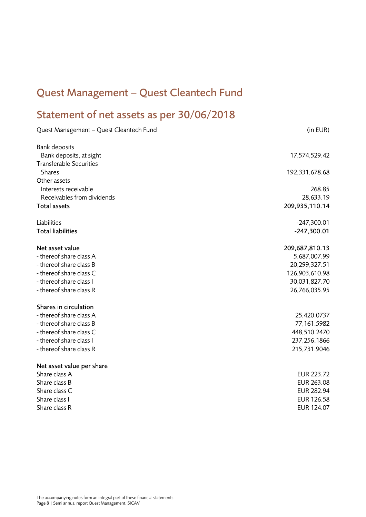# <span id="page-7-0"></span>Quest Management – Quest Cleantech Fund

# <span id="page-7-1"></span>Statement of net assets as per 30/06/2018

| Quest Management - Quest Cleantech Fund | (in EUR)          |
|-----------------------------------------|-------------------|
|                                         |                   |
| <b>Bank deposits</b>                    |                   |
| Bank deposits, at sight                 | 17,574,529.42     |
| <b>Transferable Securities</b>          |                   |
| <b>Shares</b>                           | 192,331,678.68    |
| Other assets                            |                   |
| Interests receivable                    | 268.85            |
| Receivables from dividends              | 28,633.19         |
| <b>Total assets</b>                     | 209,935,110.14    |
| Liabilities                             | $-247,300.01$     |
| <b>Total liabilities</b>                | $-247,300.01$     |
| Net asset value                         | 209,687,810.13    |
| - thereof share class A                 | 5,687,007.99      |
| - thereof share class B                 | 20,299,327.51     |
| - thereof share class C                 | 126,903,610.98    |
| - thereof share class I                 | 30,031,827.70     |
| - thereof share class R                 | 26,766,035.95     |
| Shares in circulation                   |                   |
| - thereof share class A                 | 25,420.0737       |
| - thereof share class B                 | 77,161.5982       |
| - thereof share class C                 | 448,510.2470      |
| - thereof share class I                 | 237,256.1866      |
| - thereof share class R                 | 215,731.9046      |
| Net asset value per share               |                   |
| Share class A                           | EUR 223.72        |
| Share class B                           | EUR 263.08        |
| Share class C                           | <b>EUR 282.94</b> |
| Share class I                           | <b>EUR 126.58</b> |
| Share class R                           | EUR 124.07        |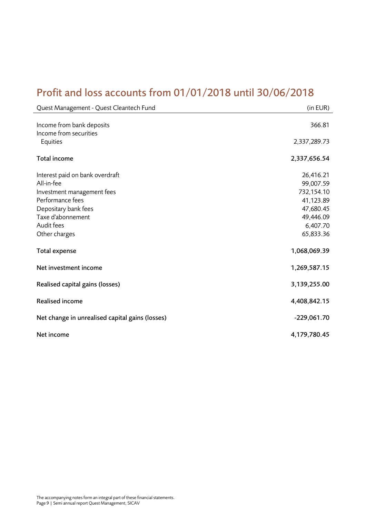# <span id="page-8-0"></span>Profit and loss accounts from 01/01/2018 until 30/06/2018

| Quest Management - Quest Cleantech Fund                                                                                                                                     | (in EUR)                                                                                             |
|-----------------------------------------------------------------------------------------------------------------------------------------------------------------------------|------------------------------------------------------------------------------------------------------|
| Income from bank deposits<br>Income from securities                                                                                                                         | 366.81                                                                                               |
| Equities                                                                                                                                                                    | 2,337,289.73                                                                                         |
| Total income                                                                                                                                                                | 2,337,656.54                                                                                         |
| Interest paid on bank overdraft<br>All-in-fee<br>Investment management fees<br>Performance fees<br>Depositary bank fees<br>Taxe d'abonnement<br>Audit fees<br>Other charges | 26,416.21<br>99,007.59<br>732,154.10<br>41,123.89<br>47,680.45<br>49,446.09<br>6,407.70<br>65,833.36 |
| Total expense                                                                                                                                                               | 1,068,069.39                                                                                         |
| Net investment income                                                                                                                                                       | 1,269,587.15                                                                                         |
| Realised capital gains (losses)                                                                                                                                             | 3,139,255.00                                                                                         |
| <b>Realised income</b>                                                                                                                                                      | 4,408,842.15                                                                                         |
| Net change in unrealised capital gains (losses)                                                                                                                             | $-229,061.70$                                                                                        |
| Net income                                                                                                                                                                  | 4,179,780.45                                                                                         |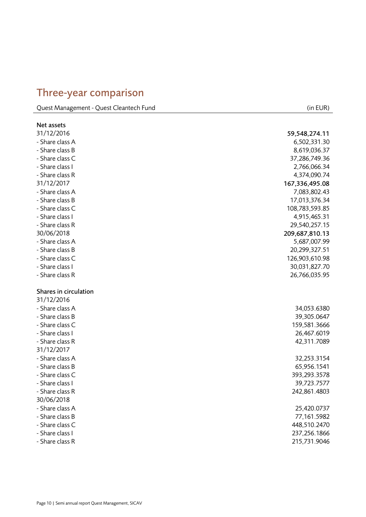# <span id="page-9-0"></span>Three -year comparison

Quest Management - Quest Cleantech Fund (in EUR)

| Net assets            |                |
|-----------------------|----------------|
| 31/12/2016            | 59,548,274.11  |
| - Share class A       | 6,502,331.30   |
| - Share class B       | 8,619,036.37   |
| - Share class C       | 37,286,749.36  |
| - Share class I       | 2,766,066.34   |
| - Share class R       | 4,374,090.74   |
| 31/12/2017            | 167,336,495.08 |
| - Share class A       | 7,083,802.43   |
| - Share class B       | 17,013,376.34  |
| - Share class C       | 108,783,593.85 |
| - Share class I       | 4,915,465.31   |
| - Share class R       | 29,540,257.15  |
| 30/06/2018            | 209,687,810.13 |
| - Share class A       | 5,687,007.99   |
| - Share class B       | 20,299,327.51  |
| - Share class C       | 126,903,610.98 |
| - Share class I       | 30,031,827.70  |
| - Share class R       | 26,766,035.95  |
|                       |                |
| Shares in circulation |                |
| 31/12/2016            |                |
| - Share class A       | 34,053.6380    |
| - Share class B       | 39,305.0647    |
| - Share class C       | 159,581.3666   |
| - Share class I       | 26,467.6019    |
| - Share class R       | 42,311.7089    |
| 31/12/2017            |                |
| - Share class A       | 32,253.3154    |
| - Share class B       | 65,956.1541    |
| - Share class C       | 393, 293. 3578 |
| - Share class I       | 39,723.7577    |
| - Share class R       | 242,861.4803   |
| 30/06/2018            |                |
| - Share class A       | 25,420.0737    |
| - Share class B       | 77,161.5982    |
| - Share class C       | 448,510.2470   |
| - Share class I       | 237,256.1866   |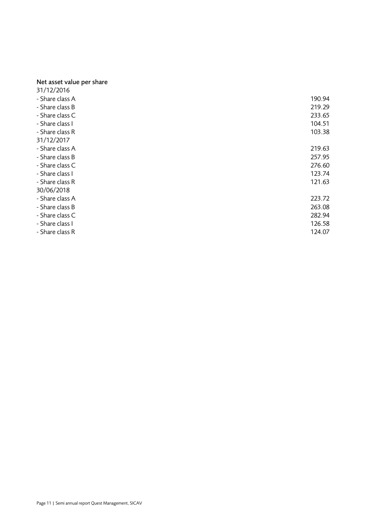#### Net asset value per share

| 31/12/2016      |        |
|-----------------|--------|
| - Share class A | 190.94 |
| - Share class B | 219.29 |
| - Share class C | 233.65 |
| - Share class I | 104.51 |
| - Share class R | 103.38 |
| 31/12/2017      |        |
| - Share class A | 219.63 |
| - Share class B | 257.95 |
| - Share class C | 276.60 |
| - Share class I | 123.74 |
| - Share class R | 121.63 |
| 30/06/2018      |        |
| - Share class A | 223.72 |
| - Share class B | 263.08 |
| - Share class C | 282.94 |
| - Share class I | 126.58 |
| - Share class R | 124.07 |
|                 |        |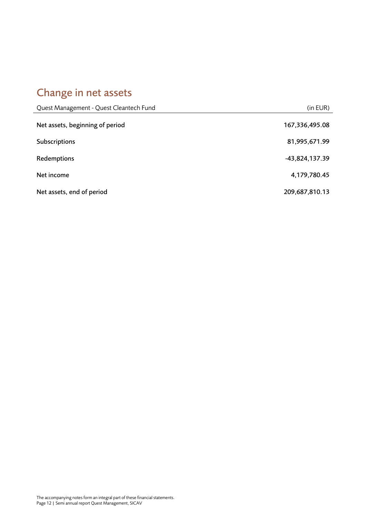# <span id="page-11-0"></span>Change in net assets

| Quest Management - Quest Cleantech Fund | (in EUR)       |
|-----------------------------------------|----------------|
| Net assets, beginning of period         | 167,336,495.08 |
| Subscriptions                           | 81,995,671.99  |
| Redemptions                             | -43,824,137.39 |
| Net income                              | 4,179,780.45   |
| Net assets, end of period               | 209,687,810.13 |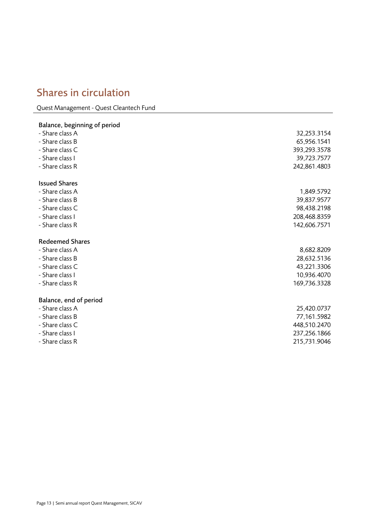# <span id="page-12-0"></span>Shares in circulation

Quest Management - Quest Cleantech Fund

# Balance, beginning of period - Share class A 32,253.3154 - Share class B 65,956.1541 - Share class C 393,293.3578 - Share class I 39,723.7577 - Share class R 242,861.4803 Issued Shares - Share class A 1,849.5792 - Share class B 39,837.9577 - Share class C 98,438.2198 - Share class I 208,468.8359 - Share class R 142,606.7571 Redeemed Shares - Share class A 8,682.8209 - Share class B 28,632.5136 - Share class C 43,221.3306 - Share class I 10,936.4070 - Share class R 169,736.3328 Balance, end of period - Share class A 25,420.0737 - Share class B 77,161.5982 - Share class C 448,510.2470 - Share class I 237,256.1866 - Share class R 215,731.9046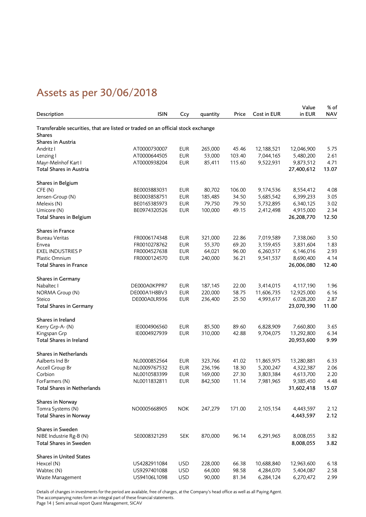# <span id="page-13-0"></span>Assets as per 30/06/2018

|                                                                                  |              |            |          |        |                        | Value      | % of       |
|----------------------------------------------------------------------------------|--------------|------------|----------|--------|------------------------|------------|------------|
| Description                                                                      | <b>ISIN</b>  | Ccy        | quantity | Price  | Cost in EUR            | in EUR     | <b>NAV</b> |
|                                                                                  |              |            |          |        |                        |            |            |
| Transferable securities, that are listed or traded on an official stock exchange |              |            |          |        |                        |            |            |
| <b>Shares</b>                                                                    |              |            |          |        |                        |            |            |
| Shares in Austria                                                                |              |            |          |        |                        |            |            |
| Andritz I                                                                        | AT0000730007 | <b>EUR</b> | 265,000  | 45.46  | 12,188,521             | 12,046,900 | 5.75       |
| Lenzing I                                                                        | AT0000644505 | <b>EUR</b> | 53,000   | 103.40 | 7,044,165              | 5,480,200  | 2.61       |
| Mayr-Melnhof Kart I                                                              | AT0000938204 | <b>EUR</b> | 85,411   | 115.60 | 9,522,931              | 9,873,512  | 4.71       |
| Total Shares in Austria                                                          |              |            |          |        |                        | 27,400,612 | 13.07      |
|                                                                                  |              |            |          |        |                        |            |            |
| Shares in Belgium                                                                |              |            |          |        |                        |            |            |
| CFE(N)                                                                           | BE0003883031 | <b>EUR</b> | 80,702   | 106.00 | 9,174,536              | 8,554,412  | 4.08       |
| Jensen-Group (N)                                                                 | BE0003858751 | <b>EUR</b> | 185,485  | 34.50  | 5,685,542              | 6,399,233  | 3.05       |
| Melexis (N)                                                                      | BE0165385973 | <b>EUR</b> | 79,750   | 79.50  | 5,732,895              | 6,340,125  | 3.02       |
| Umicore (N)                                                                      | BE0974320526 | <b>EUR</b> | 100,000  | 49.15  | 2,412,498              | 4,915,000  | 2.34       |
| <b>Total Shares in Belgium</b>                                                   |              |            |          |        |                        | 26,208,770 | 12.50      |
| Shares in France                                                                 |              |            |          |        |                        |            |            |
| <b>Bureau Veritas</b>                                                            | FR0006174348 | <b>EUR</b> |          | 22.86  |                        | 7,338,060  | 3.50       |
|                                                                                  |              | <b>EUR</b> | 321,000  | 69.20  | 7,019,589<br>3,159,455 |            |            |
| Envea                                                                            | FR0010278762 | <b>EUR</b> | 55,370   |        |                        | 3,831,604  | 1.83       |
| <b>EXEL INDUSTRIES P</b>                                                         | FR0004527638 |            | 64,021   | 96.00  | 6,260,517              | 6,146,016  | 2.93       |
| Plastic Omnium                                                                   | FR0000124570 | <b>EUR</b> | 240,000  | 36.21  | 9,541,537              | 8,690,400  | 4.14       |
| <b>Total Shares in France</b>                                                    |              |            |          |        |                        | 26,006,080 | 12.40      |
| Shares in Germany                                                                |              |            |          |        |                        |            |            |
| Nabaltec I                                                                       | DE000A0KPPR7 | <b>EUR</b> | 187,145  | 22.00  | 3,414,015              | 4,117,190  | 1.96       |
| NORMA Group (N)                                                                  | DE000A1H8BV3 | <b>EUR</b> | 220,000  | 58.75  | 11,606,735             | 12,925,000 | 6.16       |
| Steico                                                                           | DE000A0LR936 | <b>EUR</b> | 236,400  | 25.50  | 4,993,617              | 6,028,200  | 2.87       |
| <b>Total Shares in Germany</b>                                                   |              |            |          |        |                        | 23,070,390 | 11.00      |
|                                                                                  |              |            |          |        |                        |            |            |
| Shares in Ireland                                                                |              |            |          |        |                        |            |            |
| Kerry Grp-A-(N)                                                                  | IE0004906560 | <b>EUR</b> | 85,500   | 89.60  | 6,828,909              | 7,660,800  | 3.65       |
| Kingspan Grp                                                                     | IE0004927939 | <b>EUR</b> | 310,000  | 42.88  | 9,704,075              | 13,292,800 | 6.34       |
| Total Shares in Ireland                                                          |              |            |          |        |                        | 20,953,600 | 9.99       |
|                                                                                  |              |            |          |        |                        |            |            |
| Shares in Netherlands                                                            |              |            |          |        |                        |            |            |
| Aalberts Ind Br                                                                  | NL0000852564 | <b>EUR</b> | 323,766  | 41.02  | 11,865,975             | 13,280,881 | 6.33       |
| Accell Group Br                                                                  | NL0009767532 | <b>EUR</b> | 236,196  | 18.30  | 5,200,247              | 4,322,387  | 2.06       |
| Corbion                                                                          | NL0010583399 | <b>EUR</b> | 169,000  | 27.30  | 3,803,384              | 4,613,700  | 2.20       |
| ForFarmers (N)                                                                   | NL0011832811 | <b>EUR</b> | 842,500  | 11.14  | 7,981,965              | 9,385,450  | 4.48       |
| <b>Total Shares in Netherlands</b>                                               |              |            |          |        |                        | 31,602,418 | 15.07      |
|                                                                                  |              |            |          |        |                        |            |            |
| Shares in Norway                                                                 |              |            |          |        |                        |            |            |
| Tomra Systems (N)                                                                | NO0005668905 | <b>NOK</b> | 247,279  | 171.00 | 2,105,154              | 4,443,597  | 2.12       |
| <b>Total Shares in Norway</b>                                                    |              |            |          |        |                        | 4,443,597  | 2.12       |
|                                                                                  |              |            |          |        |                        |            |            |
| Shares in Sweden                                                                 |              |            |          |        |                        |            |            |
| NIBE Industrie Rg-B (N)                                                          | SE0008321293 | <b>SEK</b> | 870,000  | 96.14  | 6,291,965              | 8,008,055  | 3.82       |
| Total Shares in Sweden                                                           |              |            |          |        |                        | 8,008,055  | 3.82       |
|                                                                                  |              |            |          |        |                        |            |            |
| <b>Shares in United States</b>                                                   |              |            |          |        |                        |            |            |
| Hexcel (N)                                                                       | US4282911084 | <b>USD</b> | 228,000  | 66.38  | 10,688,840             | 12,963,600 | 6.18       |
| Wabtec (N)                                                                       | US9297401088 | <b>USD</b> | 64,000   | 98.58  | 4,284,070              | 5,404,087  | 2.58       |
| Waste Management                                                                 | US94106L1098 | <b>USD</b> | 90,000   | 81.34  | 6,284,124              | 6,270,472  | 2.99       |

Details of changes in investments for the period are available, free of charges, at the Company's head office as well as all Paying Agent. The accompanying notes form an integral part of these financial statements.

Page 14 | Semi annual report Quest Management, SICAV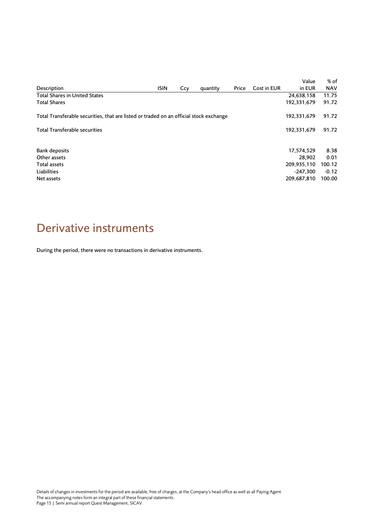|                                                                                        |             |     |          |       |             | Value       | % of       |
|----------------------------------------------------------------------------------------|-------------|-----|----------|-------|-------------|-------------|------------|
| Description                                                                            | <b>ISIN</b> | Ccy | quantity | Price | Cost in EUR | in EUR      | <b>NAV</b> |
| <b>Total Shares in United States</b>                                                   |             |     |          |       |             | 24,638,158  | 11.75      |
| <b>Total Shares</b>                                                                    |             |     |          |       |             | 192,331,679 | 91.72      |
| Total Transferable securities, that are listed or traded on an official stock exchange |             |     |          |       |             | 192,331,679 | 91.72      |
| <b>Total Transferable securities</b>                                                   |             |     |          |       |             | 192,331,679 | 91.72      |
| <b>Bank deposits</b>                                                                   |             |     |          |       |             | 17,574,529  | 8.38       |
| Other assets                                                                           |             |     |          |       |             | 28.902      | 0.01       |
| Total assets                                                                           |             |     |          |       |             | 209,935,110 | 100.12     |
| Liabilities                                                                            |             |     |          |       |             | $-247.300$  | $-0.12$    |
| Net assets                                                                             |             |     |          |       |             | 209,687,810 | 100.00     |

# <span id="page-14-0"></span>Derivative instruments

During the period, there were no transactions in derivative instruments.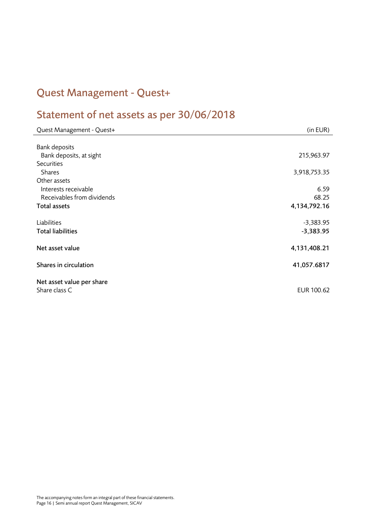# <span id="page-15-0"></span>Quest Management - Quest+

# <span id="page-15-1"></span>Statement of net assets as per 30/06/2018

| Quest Management - Quest+  | (in EUR)     |
|----------------------------|--------------|
|                            |              |
| <b>Bank deposits</b>       |              |
| Bank deposits, at sight    | 215,963.97   |
| <b>Securities</b>          |              |
| Shares                     | 3,918,753.35 |
| Other assets               |              |
| Interests receivable       | 6.59         |
| Receivables from dividends | 68.25        |
| Total assets               | 4,134,792.16 |
|                            |              |
| Liabilities                | $-3,383.95$  |
| <b>Total liabilities</b>   | $-3,383.95$  |
|                            |              |
| Net asset value            | 4,131,408.21 |
| Shares in circulation      |              |
|                            | 41,057.6817  |
| Net asset value per share  |              |
| Share class C              | EUR 100.62   |
|                            |              |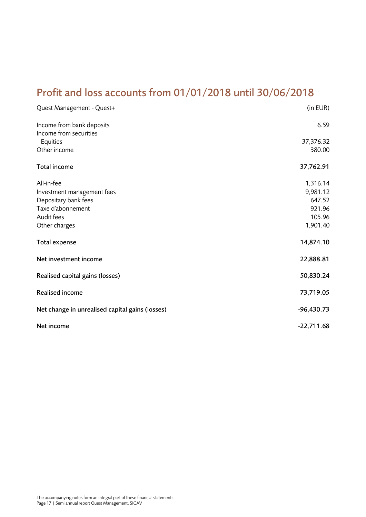# <span id="page-16-0"></span>Profit and loss accounts from 01/01/2018 until 30/06/2018

| Quest Management - Quest+                           | (in EUR)     |
|-----------------------------------------------------|--------------|
| Income from bank deposits<br>Income from securities | 6.59         |
| Equities                                            | 37,376.32    |
| Other income                                        | 380.00       |
| Total income                                        | 37,762.91    |
| All-in-fee                                          | 1,316.14     |
| Investment management fees                          | 9,981.12     |
| Depositary bank fees                                | 647.52       |
| Taxe d'abonnement                                   | 921.96       |
| Audit fees                                          | 105.96       |
| Other charges                                       | 1,901.40     |
| <b>Total expense</b>                                | 14,874.10    |
| Net investment income                               | 22,888.81    |
| Realised capital gains (losses)                     | 50,830.24    |
| <b>Realised income</b>                              | 73,719.05    |
| Net change in unrealised capital gains (losses)     | $-96,430.73$ |
| Net income                                          | $-22,711.68$ |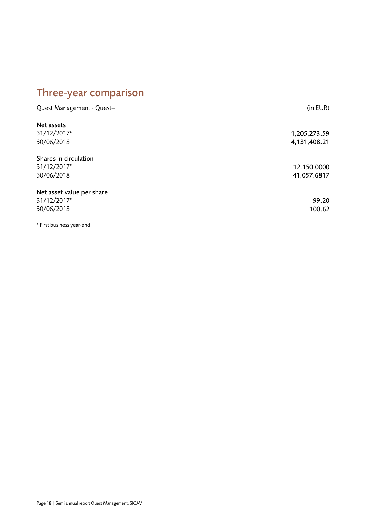# <span id="page-17-0"></span>Three-year comparison

| Quest Management - Quest+                              | (in EUR)                     |
|--------------------------------------------------------|------------------------------|
| Net assets<br>31/12/2017*<br>30/06/2018                | 1,205,273.59<br>4,131,408.21 |
| Shares in circulation<br>31/12/2017*<br>30/06/2018     | 12,150.0000<br>41,057.6817   |
| Net asset value per share<br>31/12/2017*<br>30/06/2018 | 99.20<br>100.62              |
| <b>A</b> Finish Linear and a contract and the          |                              |

\* First business year-end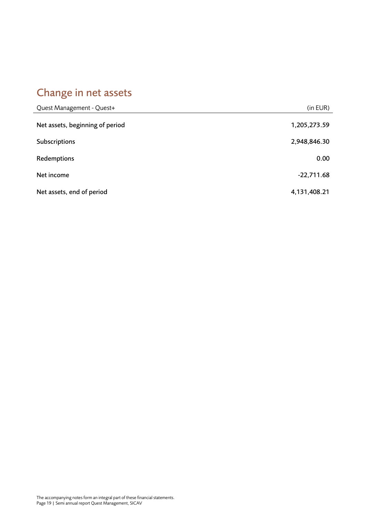# <span id="page-18-0"></span>Change in net assets

| Quest Management - Quest+       | (in EUR)     |
|---------------------------------|--------------|
| Net assets, beginning of period | 1,205,273.59 |
| Subscriptions                   | 2,948,846.30 |
| Redemptions                     | 0.00         |
| Net income                      | $-22,711.68$ |
| Net assets, end of period       | 4,131,408.21 |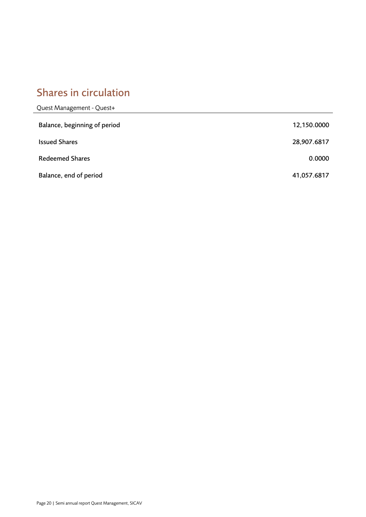# <span id="page-19-0"></span>Shares in circulation

| Quest Management - Quest+    |             |
|------------------------------|-------------|
| Balance, beginning of period | 12,150.0000 |
| <b>Issued Shares</b>         | 28,907.6817 |
| <b>Redeemed Shares</b>       | 0.0000      |
| Balance, end of period       | 41,057.6817 |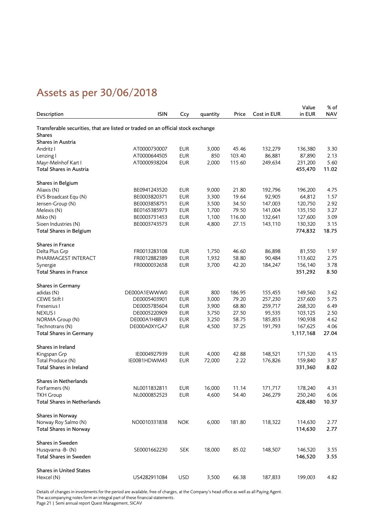# <span id="page-20-0"></span>Assets as per 30/06/2018

|                                                                                                   |              |            |          |        |             | Value     | % of       |
|---------------------------------------------------------------------------------------------------|--------------|------------|----------|--------|-------------|-----------|------------|
| Description                                                                                       | <b>ISIN</b>  | Ccy        | quantity | Price  | Cost in EUR | in EUR    | <b>NAV</b> |
|                                                                                                   |              |            |          |        |             |           |            |
| Transferable securities, that are listed or traded on an official stock exchange<br><b>Shares</b> |              |            |          |        |             |           |            |
| Shares in Austria                                                                                 |              |            |          |        |             |           |            |
| Andritz I                                                                                         | AT0000730007 | <b>EUR</b> | 3,000    | 45.46  | 132,279     | 136,380   | 3.30       |
| Lenzing I                                                                                         | AT0000644505 | <b>EUR</b> | 850      | 103.40 | 86,881      | 87,890    | 2.13       |
| Mayr-Melnhof Kart I                                                                               | AT0000938204 | <b>EUR</b> | 2,000    | 115.60 | 249,634     | 231,200   | 5.60       |
| Total Shares in Austria                                                                           |              |            |          |        |             | 455,470   | 11.02      |
|                                                                                                   |              |            |          |        |             |           |            |
| Shares in Belgium                                                                                 |              |            |          |        |             |           |            |
| Aliaxis (N)                                                                                       | BE0941243520 | <b>EUR</b> | 9,000    | 21.80  | 192,796     | 196,200   | 4.75       |
| EVS Broadcast Equ (N)                                                                             | BE0003820371 | <b>EUR</b> | 3,300    | 19.64  | 92,905      | 64,812    | 1.57       |
| Jensen-Group (N)                                                                                  | BE0003858751 | <b>EUR</b> | 3,500    | 34.50  | 147,003     | 120,750   | 2.92       |
| Melexis (N)                                                                                       | BE0165385973 | <b>EUR</b> | 1,700    | 79.50  | 141,004     | 135,150   | 3.27       |
| Miko (N)                                                                                          | BE0003731453 | <b>EUR</b> | 1,100    | 116.00 | 132,641     | 127,600   | 3.09       |
| Sioen Industries (N)                                                                              | BE0003743573 | <b>EUR</b> | 4,800    | 27.15  | 143,110     | 130,320   | 3.15       |
| <b>Total Shares in Belgium</b>                                                                    |              |            |          |        |             | 774,832   | 18.75      |
| <b>Shares in France</b>                                                                           |              |            |          |        |             |           |            |
| Delta Plus Grp                                                                                    | FR0013283108 | <b>EUR</b> | 1,750    | 46.60  | 86,898      | 81,550    | 1.97       |
| PHARMAGEST INTERACT                                                                               | FR0012882389 | <b>EUR</b> | 1,932    | 58.80  | 90,484      | 113,602   | 2.75       |
| Synergie                                                                                          | FR0000032658 | <b>EUR</b> | 3,700    | 42.20  | 184,247     | 156,140   | 3.78       |
| <b>Total Shares in France</b>                                                                     |              |            |          |        |             | 351,292   | 8.50       |
| Shares in Germany                                                                                 |              |            |          |        |             |           |            |
| adidas (N)                                                                                        | DE000A1EWWW0 | <b>EUR</b> | 800      | 186.95 | 155,455     | 149,560   | 3.62       |
| CEWE Stift I                                                                                      | DE0005403901 | <b>EUR</b> | 3,000    | 79.20  | 257,230     | 237,600   | 5.75       |
| Fresenius I                                                                                       | DE0005785604 | <b>EUR</b> | 3,900    | 68.80  | 259,717     | 268,320   | 6.49       |
| <b>NEXUS1</b>                                                                                     | DE0005220909 | <b>EUR</b> | 3,750    | 27.50  | 95,535      | 103,125   | 2.50       |
| NORMA Group (N)                                                                                   | DE000A1H8BV3 | <b>EUR</b> | 3,250    | 58.75  | 185,853     | 190,938   | 4.62       |
| Technotrans (N)                                                                                   | DE000A0XYGA7 | <b>EUR</b> | 4,500    | 37.25  | 191,793     | 167,625   | 4.06       |
| <b>Total Shares in Germany</b>                                                                    |              |            |          |        |             | 1,117,168 | 27.04      |
|                                                                                                   |              |            |          |        |             |           |            |
| Shares in Ireland                                                                                 |              |            |          |        |             |           |            |
| Kingspan Grp                                                                                      | IE0004927939 | <b>EUR</b> | 4,000    | 42.88  | 148,521     | 171,520   | 4.15       |
| Total Produce (N)                                                                                 | IE00B1HDWM43 | <b>EUR</b> | 72,000   | 2.22   | 176,826     | 159,840   | 3.87       |
| <b>Total Shares in Ireland</b>                                                                    |              |            |          |        |             | 331,360   | 8.02       |
| Shares in Netherlands                                                                             |              |            |          |        |             |           |            |
| ForFarmers (N)                                                                                    | NL0011832811 | <b>EUR</b> | 16,000   | 11.14  | 171,717     | 178,240   | 4.31       |
| <b>TKH Group</b>                                                                                  | NL0000852523 | <b>EUR</b> | 4,600    | 54.40  | 246,279     | 250,240   | 6.06       |
| <b>Total Shares in Netherlands</b>                                                                |              |            |          |        |             | 428,480   | 10.37      |
| Shares in Norway                                                                                  |              |            |          |        |             |           |            |
| Norway Roy Salmo (N)                                                                              | NO0010331838 | <b>NOK</b> | 6,000    | 181.80 | 118,322     | 114,630   | 2.77       |
| <b>Total Shares in Norway</b>                                                                     |              |            |          |        |             | 114,630   | 2.77       |
|                                                                                                   |              |            |          |        |             |           |            |
| Shares in Sweden                                                                                  |              |            |          |        |             |           |            |
| Husqvarna -B- (N)                                                                                 | SE0001662230 | <b>SEK</b> | 18,000   | 85.02  | 148,507     | 146,520   | 3.55       |
| Total Shares in Sweden                                                                            |              |            |          |        |             | 146,520   | 3.55       |
| <b>Shares in United States</b>                                                                    |              |            |          |        |             |           |            |
| Hexcel (N)                                                                                        | US4282911084 | <b>USD</b> | 3,500    | 66.38  | 187,833     | 199,003   | 4.82       |
|                                                                                                   |              |            |          |        |             |           |            |

Details of changes in investments for the period are available, free of charges, at the Company's head office as well as all Paying Agent. The accompanying notes form an integral part of these financial statements.

Page 21 | Semi annual report Quest Management, SICAV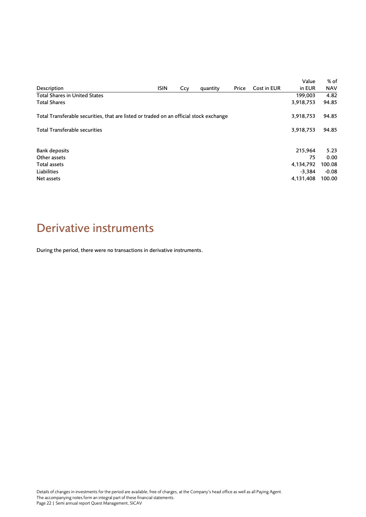|                                                                                        |             |     |          |       |             | Value     | % of       |
|----------------------------------------------------------------------------------------|-------------|-----|----------|-------|-------------|-----------|------------|
| Description                                                                            | <b>ISIN</b> | Ccy | quantity | Price | Cost in EUR | in EUR    | <b>NAV</b> |
| <b>Total Shares in United States</b>                                                   |             |     |          |       |             | 199,003   | 4.82       |
| <b>Total Shares</b>                                                                    |             |     |          |       |             | 3,918,753 | 94.85      |
| Total Transferable securities, that are listed or traded on an official stock exchange |             |     |          |       | 3,918,753   | 94.85     |            |
| <b>Total Transferable securities</b>                                                   |             |     |          |       |             | 3,918,753 | 94.85      |
| Bank deposits                                                                          |             |     |          |       |             | 215.964   | 5.23       |
| Other assets                                                                           |             |     |          |       |             | 75        | 0.00       |
| Total assets                                                                           |             |     |          |       |             | 4,134,792 | 100.08     |
| Liabilities                                                                            |             |     |          |       |             | -3.384    | $-0.08$    |
| Net assets                                                                             |             |     |          |       |             | 4,131,408 | 100.00     |

# <span id="page-21-0"></span>Derivative instruments

During the period, there were no transactions in derivative instruments.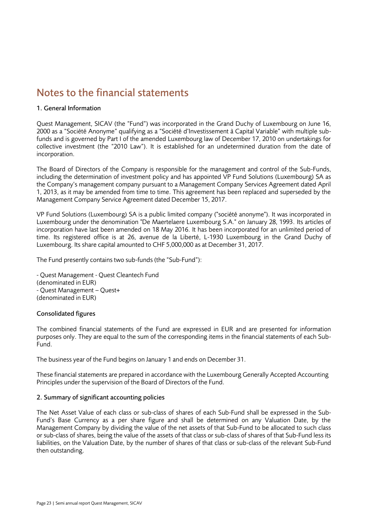# <span id="page-22-0"></span>Notes to the financial statements

### 1. General Information

Quest Management, SICAV (the "Fund") was incorporated in the Grand Duchy of Luxembourg on June 16, 2000 as a "Société Anonyme" qualifying as a "Société d'Investissement à Capital Variable" with multiple subfunds and is governed by Part I of the amended Luxembourg law of December 17, 2010 on undertakings for collective investment (the "2010 Law"). It is established for an undetermined duration from the date of incorporation.

The Board of Directors of the Company is responsible for the management and control of the Sub-Funds, including the determination of investment policy and has appointed VP Fund Solutions (Luxembourg) SA as the Company's management company pursuant to a Management Company Services Agreement dated April 1, 2013, as it may be amended from time to time. This agreement has been replaced and superseded by the Management Company Service Agreement dated December 15, 2017.

VP Fund Solutions (Luxembourg) SA is a public limited company ("société anonyme"). It was incorporated in Luxembourg under the denomination "De Maertelaere Luxembourg S.A." on January 28, 1993. Its articles of incorporation have last been amended on 18 May 2016. It has been incorporated for an unlimited period of time. Its registered office is at 26, avenue de la Liberté, L-1930 Luxembourg in the Grand Duchy of Luxembourg. Its share capital amounted to CHF 5,000,000 as at December 31, 2017.

The Fund presently contains two sub-funds (the "Sub-Fund"):

- Quest Management - Quest Cleantech Fund (denominated in EUR) - Quest Management – Quest+ (denominated in EUR)

# Consolidated figures

The combined financial statements of the Fund are expressed in EUR and are presented for information purposes only. They are equal to the sum of the corresponding items in the financial statements of each Sub-Fund.

The business year of the Fund begins on January 1 and ends on December 31.

These financial statements are prepared in accordance with the Luxembourg Generally Accepted Accounting Principles under the supervision of the Board of Directors of the Fund.

# 2. Summary of significant accounting policies

The Net Asset Value of each class or sub-class of shares of each Sub-Fund shall be expressed in the Sub-Fund's Base Currency as a per share figure and shall be determined on any Valuation Date, by the Management Company by dividing the value of the net assets of that Sub-Fund to be allocated to such class or sub-class of shares, being the value of the assets of that class or sub-class of shares of that Sub-Fund less its liabilities, on the Valuation Date, by the number of shares of that class or sub-class of the relevant Sub-Fund then outstanding.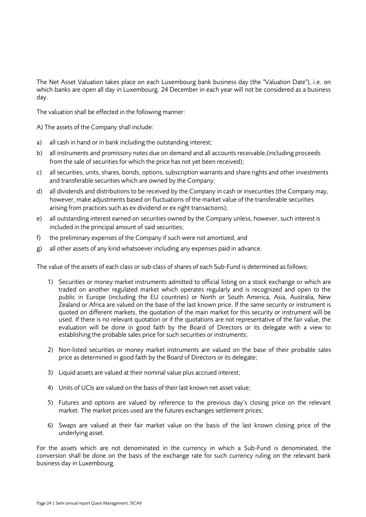The Net Asset Valuation takes place on each Luxembourg bank business day (the "Valuation Date"), i.e. on which banks are open all day in Luxembourg. 24 December in each year will not be considered as a business day.

The valuation shall be effected in the following manner:

A) The assets of the Company shall include:

- a) all cash in hand or in bank including the outstanding interest;
- b) all instruments and promissory notes due on demand and all accounts receivable,(including proceeds from the sale of securities for which the price has not yet been received);
- c) all securities, units, shares, bonds, options, subscription warrants and share rights and other investments and transferable securities which are owned by the Company;
- d) all dividends and distributions to be received by the Company in cash or insecurities (the Company may, however, make adjustments based on fluctuations of the market value of the transferable securities arising from practices such as ex dividend or ex right transactions);
- e) all outstanding interest earned on securities owned by the Company unless, however, such interest is included in the principal amount of said securities;
- f) the preliminary expenses of the Company if such were not amortized, and
- g) all other assets of any kind whatsoever including any expenses paid in advance.

The value of the assets of each class or sub-class of shares of each Sub-Fund is determined as follows:

- 1) Securities or money market instruments admitted to official listing on a stock exchange or which are traded on another regulated market which operates regularly and is recognized and open to the public in Europe (including the EU countries) or North or South America, Asia, Australia, New Zealand or Africa are valued on the base of the last known price. If the same security or instrument is quoted on different markets, the quotation of the main market for this security or instrument will be used. If there is no relevant quotation or if the quotations are not representative of the fair value, the evaluation will be done in good faith by the Board of Directors or its delegate with a view to establishing the probable sales price for such securities or instruments;
- 2) Non-listed securities or money market instruments are valued on the base of their probable sales price as determined in good faith by the Board of Directors or its delegate;
- 3) Liquid assets are valued at their nominal value plus accrued interest;
- 4) Units of UCIs are valued on the basis of their last known net asset value;
- 5) Futures and options are valued by reference to the previous day's closing price on the relevant market. The market prices used are the futures exchanges settlement prices;
- 6) Swaps are valued at their fair market value on the basis of the last known closing price of the underlying asset.

For the assets which are not denominated in the currency in which a Sub-Fund is denominated, the conversion shall be done on the basis of the exchange rate for such currency ruling on the relevant bank business day in Luxembourg.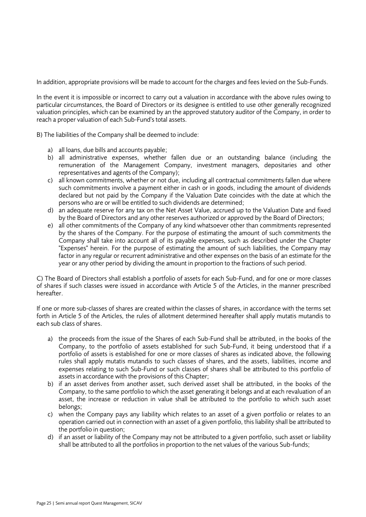In addition, appropriate provisions will be made to account for the charges and fees levied on the Sub-Funds.

In the event it is impossible or incorrect to carry out a valuation in accordance with the above rules owing to particular circumstances, the Board of Directors or its designee is entitled to use other generally recognized valuation principles, which can be examined by an the approved statutory auditor of the Company, in order to reach a proper valuation of each Sub-Fund's total assets.

B) The liabilities of the Company shall be deemed to include:

- a) all loans, due bills and accounts payable;
- b) all administrative expenses, whether fallen due or an outstanding balance (including the remuneration of the Management Company, investment managers, depositaries and other representatives and agents of the Company);
- c) all known commitments, whether or not due, including all contractual commitments fallen due where such commitments involve a payment either in cash or in goods, including the amount of dividends declared but not paid by the Company if the Valuation Date coincides with the date at which the persons who are or will be entitled to such dividends are determined;
- d) an adequate reserve for any tax on the Net Asset Value, accrued up to the Valuation Date and fixed by the Board of Directors and any other reserves authorized or approved by the Board of Directors;
- e) all other commitments of the Company of any kind whatsoever other than commitments represented by the shares of the Company. For the purpose of estimating the amount of such commitments the Company shall take into account all of its payable expenses, such as described under the Chapter "Expenses" herein. For the purpose of estimating the amount of such liabilities, the Company may factor in any regular or recurrent administrative and other expenses on the basis of an estimate for the year or any other period by dividing the amount in proportion to the fractions of such period.

C) The Board of Directors shall establish a portfolio of assets for each Sub-Fund, and for one or more classes of shares if such classes were issued in accordance with Article 5 of the Articles, in the manner prescribed hereafter.

If one or more sub-classes of shares are created within the classes of shares, in accordance with the terms set forth in Article 5 of the Articles, the rules of allotment determined hereafter shall apply mutatis mutandis to each sub class of shares.

- a) the proceeds from the issue of the Shares of each Sub-Fund shall be attributed, in the books of the Company, to the portfolio of assets established for such Sub-Fund, it being understood that if a portfolio of assets is established for one or more classes of shares as indicated above, the following rules shall apply mutatis mutandis to such classes of shares, and the assets, liabilities, income and expenses relating to such Sub-Fund or such classes of shares shall be attributed to this portfolio of assets in accordance with the provisions of this Chapter;
- b) if an asset derives from another asset, such derived asset shall be attributed, in the books of the Company, to the same portfolio to which the asset generating it belongs and at each revaluation of an asset, the increase or reduction in value shall be attributed to the portfolio to which such asset belongs;
- c) when the Company pays any liability which relates to an asset of a given portfolio or relates to an operation carried out in connection with an asset of a given portfolio, this liability shall be attributed to the portfolio in question;
- d) if an asset or liability of the Company may not be attributed to a given portfolio, such asset or liability shall be attributed to all the portfolios in proportion to the net values of the various Sub-funds;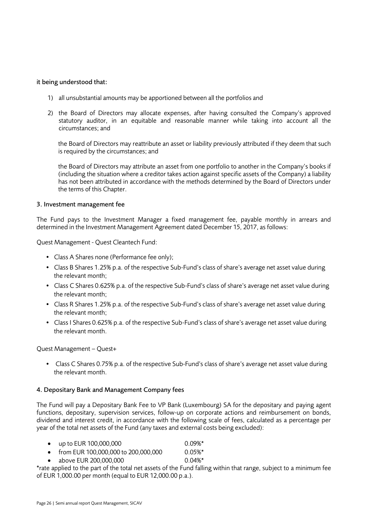### it being understood that:

- 1) all unsubstantial amounts may be apportioned between all the portfolios and
- 2) the Board of Directors may allocate expenses, after having consulted the Company's approved statutory auditor, in an equitable and reasonable manner while taking into account all the circumstances; and

the Board of Directors may reattribute an asset or liability previously attributed if they deem that such is required by the circumstances; and

the Board of Directors may attribute an asset from one portfolio to another in the Company's books if (including the situation where a creditor takes action against specific assets of the Company) a liability has not been attributed in accordance with the methods determined by the Board of Directors under the terms of this Chapter.

### 3. Investment management fee

The Fund pays to the Investment Manager a fixed management fee, payable monthly in arrears and determined in the Investment Management Agreement dated December 15, 2017, as follows:

Quest Management - Quest Cleantech Fund:

- Class A Shares none (Performance fee only);
- Class B Shares 1.25% p.a. of the respective Sub-Fund's class of share's average net asset value during the relevant month;
- Class C Shares 0.625% p.a. of the respective Sub-Fund's class of share's average net asset value during the relevant month;
- Class R Shares 1.25% p.a. of the respective Sub-Fund's class of share's average net asset value during the relevant month;
- Class I Shares 0.625% p.a. of the respective Sub-Fund's class of share's average net asset value during the relevant month.

Quest Management – Quest+

• Class C Shares 0.75% p.a. of the respective Sub-Fund's class of share's average net asset value during the relevant month.

### 4. Depositary Bank and Management Company fees

The Fund will pay a Depositary Bank Fee to VP Bank (Luxembourg) SA for the depositary and paying agent functions, depositary, supervision services, follow-up on corporate actions and reimbursement on bonds, dividend and interest credit, in accordance with the following scale of fees, calculated as a percentage per year of the total net assets of the Fund (any taxes and external costs being excluded):

- up to EUR 100,000,000 0.09%\*
- from EUR 100,000,000 to 200,000,000 0.05%\*
	- above EUR 200,000,000 0.04%\*

\*rate applied to the part of the total net assets of the Fund falling within that range, subject to a minimum fee of EUR 1,000.00 per month (equal to EUR 12,000.00 p.a.).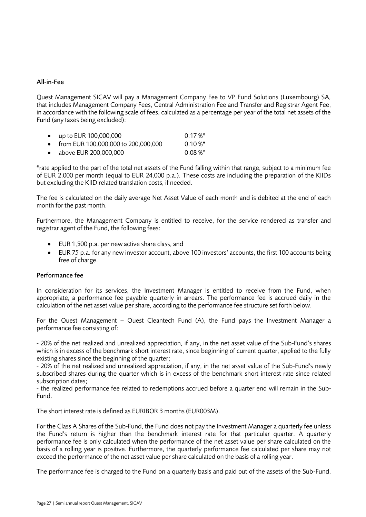### All-in-Fee

Quest Management SICAV will pay a Management Company Fee to VP Fund Solutions (Luxembourg) SA, that includes Management Company Fees, Central Administration Fee and Transfer and Registrar Agent Fee, in accordance with the following scale of fees, calculated as a percentage per year of the total net assets of the Fund (any taxes being excluded):

| • up to EUR 100,000,000               | $0.17\%$ * |
|---------------------------------------|------------|
| • from EUR 100,000,000 to 200,000,000 | $0.10 \%$  |
| $\bullet$ above FUR 200,000,000       | $0.08 \%$  |

\*rate applied to the part of the total net assets of the Fund falling within that range, subject to a minimum fee of EUR 2,000 per month (equal to EUR 24,000 p.a.). These costs are including the preparation of the KIIDs but excluding the KIID related translation costs, if needed.

The fee is calculated on the daily average Net Asset Value of each month and is debited at the end of each month for the past month.

Furthermore, the Management Company is entitled to receive, for the service rendered as transfer and registrar agent of the Fund, the following fees:

- EUR 1,500 p.a. per new active share class, and
- EUR 75 p.a. for any new investor account, above 100 investors' accounts, the first 100 accounts being free of charge.

### Performance fee

In consideration for its services, the Investment Manager is entitled to receive from the Fund, when appropriate, a performance fee payable quarterly in arrears. The performance fee is accrued daily in the calculation of the net asset value per share, according to the performance fee structure set forth below.

For the Quest Management – Quest Cleantech Fund (A), the Fund pays the Investment Manager a performance fee consisting of:

- 20% of the net realized and unrealized appreciation, if any, in the net asset value of the Sub-Fund's shares which is in excess of the benchmark short interest rate, since beginning of current quarter, applied to the fully existing shares since the beginning of the quarter;

- 20% of the net realized and unrealized appreciation, if any, in the net asset value of the Sub-Fund's newly subscribed shares during the quarter which is in excess of the benchmark short interest rate since related subscription dates:

- the realized performance fee related to redemptions accrued before a quarter end will remain in the Sub-Fund.

The short interest rate is defined as EURIBOR 3 months (EUR003M).

For the Class A Shares of the Sub-Fund, the Fund does not pay the Investment Manager a quarterly fee unless the Fund's return is higher than the benchmark interest rate for that particular quarter. A quarterly performance fee is only calculated when the performance of the net asset value per share calculated on the basis of a rolling year is positive. Furthermore, the quarterly performance fee calculated per share may not exceed the performance of the net asset value per share calculated on the basis of a rolling year.

The performance fee is charged to the Fund on a quarterly basis and paid out of the assets of the Sub-Fund.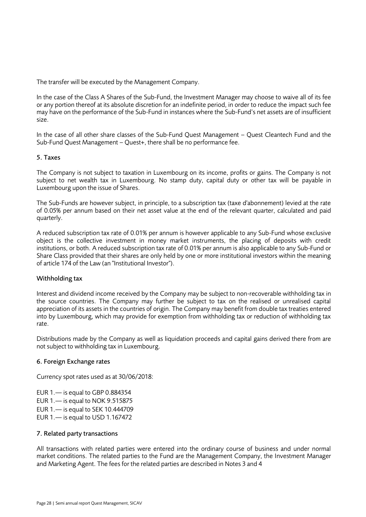The transfer will be executed by the Management Company.

In the case of the Class A Shares of the Sub-Fund, the Investment Manager may choose to waive all of its fee or any portion thereof at its absolute discretion for an indefinite period, in order to reduce the impact such fee may have on the performance of the Sub-Fund in instances where the Sub-Fund's net assets are of insufficient size.

In the case of all other share classes of the Sub-Fund Quest Management – Quest Cleantech Fund and the Sub-Fund Quest Management – Quest+, there shall be no performance fee.

### 5. Taxes

The Company is not subject to taxation in Luxembourg on its income, profits or gains. The Company is not subject to net wealth tax in Luxembourg. No stamp duty, capital duty or other tax will be payable in Luxembourg upon the issue of Shares.

The Sub-Funds are however subject, in principle, to a subscription tax (taxe d'abonnement) levied at the rate of 0.05% per annum based on their net asset value at the end of the relevant quarter, calculated and paid quarterly.

A reduced subscription tax rate of 0.01% per annum is however applicable to any Sub-Fund whose exclusive object is the collective investment in money market instruments, the placing of deposits with credit institutions, or both. A reduced subscription tax rate of 0.01% per annum is also applicable to any Sub-Fund or Share Class provided that their shares are only held by one or more institutional investors within the meaning of article 174 of the Law (an "Institutional Investor").

### Withholding tax

Interest and dividend income received by the Company may be subject to non-recoverable withholding tax in the source countries. The Company may further be subject to tax on the realised or unrealised capital appreciation of its assets in the countries of origin. The Company may benefit from double tax treaties entered into by Luxembourg, which may provide for exemption from withholding tax or reduction of withholding tax rate.

Distributions made by the Company as well as liquidation proceeds and capital gains derived there from are not subject to withholding tax in Luxembourg.

### 6. Foreign Exchange rates

Currency spot rates used as at 30/06/2018:

EUR 1.— is equal to GBP 0.884354 EUR 1.— is equal to NOK 9.515875 EUR 1.— is equal to SEK 10.444709 EUR 1.— is equal to USD 1.167472

#### 7. Related party transactions

All transactions with related parties were entered into the ordinary course of business and under normal market conditions. The related parties to the Fund are the Management Company, the Investment Manager and Marketing Agent. The fees for the related parties are described in Notes 3 and 4